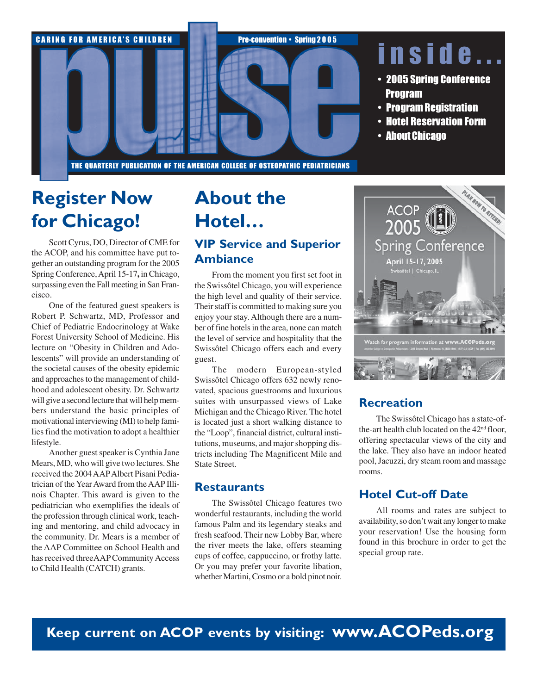

## Register Now for Chicago!

Scott Cyrus, DO, Director of CME for the ACOP, and his committee have put together an outstanding program for the 2005 Spring Conference, April 15-17**,** in Chicago, surpassing even the Fall meeting in San Francisco.

One of the featured guest speakers is Robert P. Schwartz, MD, Professor and Chief of Pediatric Endocrinology at Wake Forest University School of Medicine. His lecture on "Obesity in Children and Adolescents" will provide an understanding of the societal causes of the obesity epidemic and approaches to the management of childhood and adolescent obesity. Dr. Schwartz will give a second lecture that will help members understand the basic principles of motivational interviewing (MI) to help families find the motivation to adopt a healthier lifestyle.

Another guest speaker is Cynthia Jane Mears, MD, who will give two lectures. She received the 2004 AAP Albert Pisani Pediatrician of the Year Award from the AAP Illinois Chapter. This award is given to the pediatrician who exemplifies the ideals of the profession through clinical work, teaching and mentoring, and child advocacy in the community. Dr. Mears is a member of the AAP Committee on School Health and has received threeAAP Community Access to Child Health (CATCH) grants.

# About the Hotel…

#### VIP Service and Superior Ambiance

From the moment you first set foot in the Swissôtel Chicago, you will experience the high level and quality of their service. Their staff is committed to making sure you enjoy your stay. Although there are a number of fine hotels in the area, none can match the level of service and hospitality that the Swissôtel Chicago offers each and every guest.

The modern European-styled Swissôtel Chicago offers 632 newly renovated, spacious guestrooms and luxurious suites with unsurpassed views of Lake Michigan and the Chicago River. The hotel is located just a short walking distance to the "Loop", financial district, cultural institutions, museums, and major shopping districts including The Magnificent Mile and State Street.

#### **Restaurants**

The Swissôtel Chicago features two wonderful restaurants, including the world famous Palm and its legendary steaks and fresh seafood. Their new Lobby Bar, where the river meets the lake, offers steaming cups of coffee, cappuccino, or frothy latte. Or you may prefer your favorite libation, whether Martini, Cosmo or a bold pinot noir.



#### **Recreation**

The Swissôtel Chicago has a state-ofthe-art health club located on the 42<sup>nd</sup> floor, offering spectacular views of the city and the lake. They also have an indoor heated pool, Jacuzzi, dry steam room and massage rooms.

#### Hotel Cut-off Date

All rooms and rates are subject to availability, so don't wait any longer to make your reservation! Use the housing form found in this brochure in order to get the special group rate.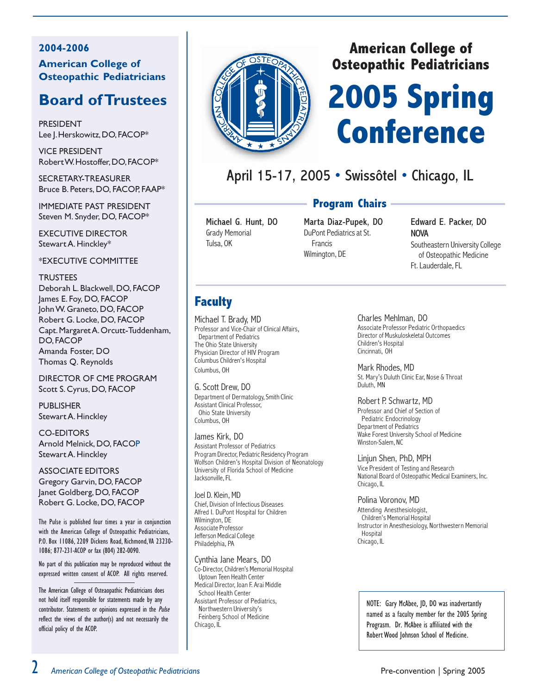#### 2004-2006 American College of Osteopathic Pediatricians

### Board of Trustees

PRESIDENT Lee J. Herskowitz, DO, FACOP\*

VICE PRESIDENT Robert W. Hostoffer, DO, FACOP\*

SECRETARY-TREASURER Bruce B. Peters, DO, FACOP, FAAP\*

IMMEDIATE PAST PRESIDENT Steven M. Snyder, DO, FACOP\*

EXECUTIVE DIRECTOR Stewart A. Hinckley\*

\*EXECUTIVE COMMITTEE

#### **TRUSTEES**

Deborah L. Blackwell, DO, FACOP James E. Foy, DO, FACOP John W. Graneto, DO, FACOP Robert G. Locke, DO, FACOP Capt. Margaret A. Orcutt-Tuddenham, DO, FACOP Amanda Foster, DO Thomas Q. Reynolds

DIRECTOR OF CME PROGRAM Scott S. Cyrus, DO, FACOP

**PUBLISHER** Stewart A. Hinckley

CO-EDITORS Arnold Melnick, DO, FACOP Stewart A. Hinckley

ASSOCIATE EDITORS Gregory Garvin, DO, FACOP Janet Goldberg, DO, FACOP Robert G. Locke, DO, FACOP

The Pulse is published four times a year in conjunction with the American College of Osteopathic Pediatricians, P.O. Box 11086, 2209 Dickens Road, Richmond, VA 23230- 1086; 877-231-ACOP or fax (804) 282-0090.

No part of this publication may be reproduced without the expressed written consent of ACOP. All rights reserved.

The American College of Osteaopathic Pediatricians does not hold itself responsible for statements made by any contributor. Statements or opinions expressed in the Pulse reflect the views of the author(s) and not necessarily the official policy of the ACOP.



#### American College of Osteopathic Pediatricians

# 2005 Spring Conference

### April 15-17, 2005 • Swissôtel • Chicago, IL

#### Program Chairs

Michael G. Hunt, DO Grady Memorial Tulsa, OK

Marta Diaz-Pupek, DO DuPont Pediatrics at St. Francis Wilmington, DE

Edward E. Packer, DO NOVA Southeastern University College of Osteopathic Medicine Ft. Lauderdale, FL

#### **Faculty**

Michael T. Brady, MD Professor and Vice-Chair of Clinical Affairs, Department of Pediatrics The Ohio State University Physician Director of HIV Program Columbus Children's Hospital Columbus, OH

G. Scott Drew, DO Department of Dermatology, Smith Clinic Assistant Clinical Professor, Ohio State University Columbus, OH

James Kirk, DO Assistant Professor of Pediatrics Program Director, Pediatric Residency Program Wolfson Children's Hospital Division of Neonatology University of Florida School of Medicine Jacksonville, FL

Joel D. Klein, MD Chief, Division of Infectious Diseases Alfred I. DuPont Hospital for Children Wilmington, DE Associate Professor Jefferson Medical College Philadelphia, PA

Cynthia Jane Mears, DO

Co-Director, Children's Memorial Hospital Uptown Teen Health Center Medical Director, Joan F. Arai Middle School Health Center Assistant Professor of Pediatrics, Northwestern University's Feinberg School of Medicine Chicago, IL

Charles Mehlman, DO

Associate Professor Pediatric Orthopaedics Director of Muskuloskeletal Outcomes Children's Hospital Cincinnati, OH

Mark Rhodes, MD St. Mary's Duluth Clinic Ear, Nose & Throat Duluth, MN

Robert P. Schwartz, MD

Professor and Chief of Section of Pediatric Endocrinology Department of Pediatrics Wake Forest University School of Medicine Winston-Salem, NC

Linjun Shen, PhD, MPH Vice President of Testing and Research National Board of Osteopathic Medical Examiners, Inc. Chicago, IL

Polina Voronov, MD Attending Anesthesiologist, Children's Memorial Hospital Instructor in Anesthesiology, Northwestern Memorial **Hospital** Chicago, IL

NOTE: Gary McAbee, JD, DO was inadvertantly named as a faculty member for the 2005 Spring Prograsm. Dr. McAbee is affiliated with the Robert Wood Johnson School of Medicine.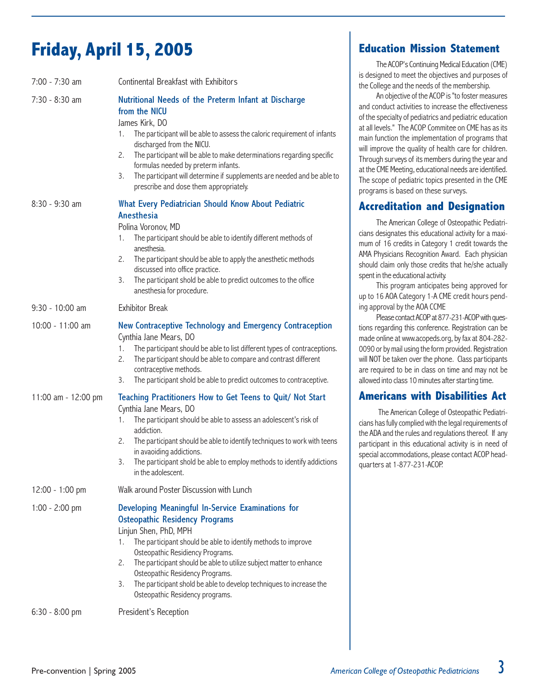# Friday, April 15, 2005

| 7:00 - 7:30 am      | Continental Breakfast with Exhibitors                                                                                                                                                                                                                                                                                                                                                                                                                          |
|---------------------|----------------------------------------------------------------------------------------------------------------------------------------------------------------------------------------------------------------------------------------------------------------------------------------------------------------------------------------------------------------------------------------------------------------------------------------------------------------|
| 7:30 - 8:30 am      | Nutritional Needs of the Preterm Infant at Discharge<br>from the NICU<br>James Kirk, DO<br>The participant will be able to assess the caloric requirement of infants<br>1.<br>discharged from the NICU.<br>The participant will be able to make determinations regarding specific<br>2.<br>formulas needed by preterm infants.<br>The participant will determine if supplements are needed and be able to<br>3.<br>prescribe and dose them appropriately.      |
| 8:30 - 9:30 am      | What Every Pediatrician Should Know About Pediatric<br><b>Anesthesia</b><br>Polina Voronov, MD<br>The participant should be able to identify different methods of<br>1.<br>anesthesia.<br>The participant should be able to apply the anesthetic methods<br>2.<br>discussed into office practice.<br>The participant shold be able to predict outcomes to the office<br>3.<br>anesthesia for procedure.                                                        |
| 9:30 - 10:00 am     | <b>Exhibitor Break</b>                                                                                                                                                                                                                                                                                                                                                                                                                                         |
| 10:00 - 11:00 am    | New Contraceptive Technology and Emergency Contraception<br>Cynthia Jane Mears, DO<br>The participant should be able to list different types of contraceptions.<br>1.<br>The participant should be able to compare and contrast different<br>2.<br>contraceptive methods.<br>The participant shold be able to predict outcomes to contraceptive.<br>3.                                                                                                         |
| 11:00 am - 12:00 pm | Teaching Practitioners How to Get Teens to Quit/ Not Start<br>Cynthia Jane Mears, DO<br>The participant should be able to assess an adolescent's risk of<br>1.<br>addiction.<br>2.<br>The participant should be able to identify techniques to work with teens<br>in avaoiding addictions.<br>The participant shold be able to employ methods to identify addictions<br>3.<br>in the adolescent.                                                               |
| 12:00 - 1:00 pm     | Walk around Poster Discussion with Lunch                                                                                                                                                                                                                                                                                                                                                                                                                       |
| $1:00 - 2:00$ pm    | Developing Meaningful In-Service Examinations for<br><b>Osteopathic Residency Programs</b><br>Linjun Shen, PhD, MPH<br>The participant should be able to identify methods to improve<br>1.<br>Osteopathic Residiency Programs.<br>The participant should be able to utilize subject matter to enhance<br>2.<br>Osteopathic Residency Programs.<br>The participant shold be able to develop techniques to increase the<br>3.<br>Osteopathic Residency programs. |
| 6:30 - 8:00 pm      | President's Reception                                                                                                                                                                                                                                                                                                                                                                                                                                          |

#### Education Mission Statement

The ACOP's Continuing Medical Education (CME) is designed to meet the objectives and purposes of the College and the needs of the membership.

An objective of the ACOP is "to foster measures and conduct activities to increase the effectiveness of the specialty of pediatrics and pediatric education at all levels." The ACOP Commitee on CME has as its main function the implementation of programs that will improve the quality of health care for children. Through surveys of its members during the year and at the CME Meeting, educational needs are identified. The scope of pediatric topics presented in the CME programs is based on these surveys.

#### Accreditation and Designation

The American College of Osteopathic Pediatricians designates this educational activity for a maximum of 16 credits in Category 1 credit towards the AMA Physicians Recognition Award. Each physician should claim only those credits that he/she actually spent in the educational activity.

This program anticipates being approved for up to 16 AOA Category 1-A CME credit hours pending approval by the AOA CCME

Please contact ACOP at 877-231-ACOP with questions regarding this conference. Registration can be made online at www.acopeds.org, by fax at 804-282- 0090 or by mail using the form provided. Registration will NOT be taken over the phone. Class participants are required to be in class on time and may not be allowed into class 10 minutes after starting time.

#### Americans with Disabilities Act

 The American College of Osteopathic Pediatricians has fully complied with the legal requirements of the ADA and the rules and regulations thereof. If any participant in this educational activity is in need of special accommodations, please contact ACOP headquarters at 1-877-231-ACOP.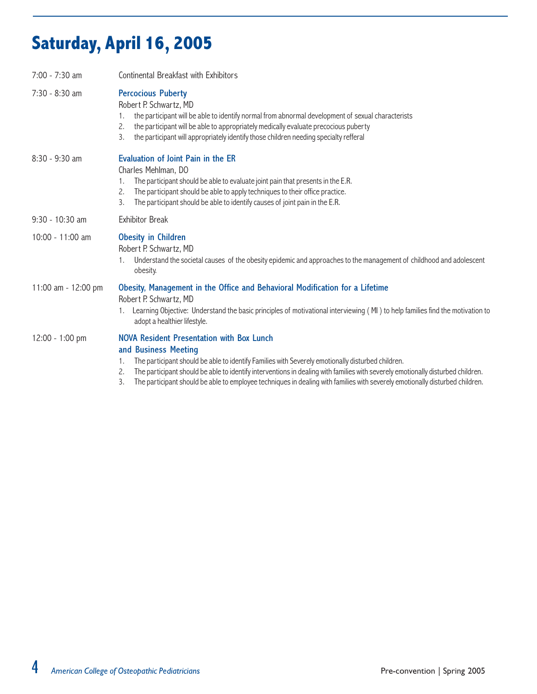# Saturday, April 16, 2005

| 7:00 - 7:30 am      | Continental Breakfast with Exhibitors                                                                                                                                                                                                                                                                                                                                                                                                                       |  |  |
|---------------------|-------------------------------------------------------------------------------------------------------------------------------------------------------------------------------------------------------------------------------------------------------------------------------------------------------------------------------------------------------------------------------------------------------------------------------------------------------------|--|--|
| 7:30 - 8:30 am      | <b>Percocious Puberty</b><br>Robert P. Schwartz, MD<br>the participant will be able to identify normal from abnormal development of sexual characterists<br>1.<br>the participant will be able to appropriately medically evaluate precocious puberty<br>2.<br>the participant will appropriately identify those children needing specialty refferal<br>3.                                                                                                  |  |  |
| $8:30 - 9:30$ am    | Evaluation of Joint Pain in the ER<br>Charles Mehlman, DO<br>The participant should be able to evaluate joint pain that presents in the E.R.<br>1.<br>The participant should be able to apply techniques to their office practice.<br>2.<br>The participant should be able to identify causes of joint pain in the E.R.<br>3.                                                                                                                               |  |  |
| $9:30 - 10:30$ am   | <b>Exhibitor Break</b>                                                                                                                                                                                                                                                                                                                                                                                                                                      |  |  |
| 10:00 - 11:00 am    | <b>Obesity in Children</b><br>Robert P. Schwartz, MD<br>Understand the societal causes of the obesity epidemic and approaches to the management of childhood and adolescent<br>obesity.                                                                                                                                                                                                                                                                     |  |  |
| 11:00 am - 12:00 pm | Obesity, Management in the Office and Behavioral Modification for a Lifetime<br>Robert P. Schwartz, MD<br>Learning Objective: Understand the basic principles of motivational interviewing (MI) to help families find the motivation to<br>adopt a healthier lifestyle.                                                                                                                                                                                     |  |  |
| 12:00 - 1:00 pm     | NOVA Resident Presentation with Box Lunch<br>and Business Meeting<br>The participant should be able to identify Families with Severely emotionally disturbed children.<br>1.<br>The participant should be able to identify interventions in dealing with families with severely emotionally disturbed children.<br>2.<br>The participant should be able to employee techniques in dealing with families with severely emotionally disturbed children.<br>3. |  |  |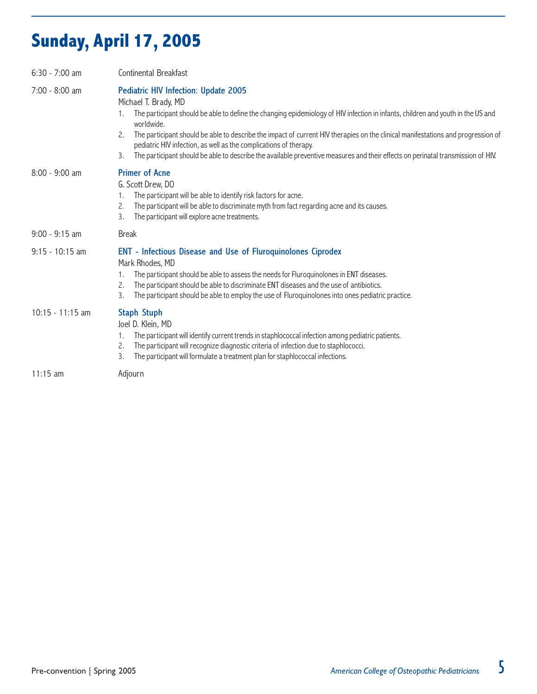# Sunday, April 17, 2005

| $6:30 - 7:00$ am  | Continental Breakfast                                                                                                                                                                                                                                                                                                                                                                                                                                                                                                                                                          |
|-------------------|--------------------------------------------------------------------------------------------------------------------------------------------------------------------------------------------------------------------------------------------------------------------------------------------------------------------------------------------------------------------------------------------------------------------------------------------------------------------------------------------------------------------------------------------------------------------------------|
| 7:00 - 8:00 am    | <b>Pediatric HIV Infection: Update 2005</b><br>Michael T. Brady, MD<br>The participant should be able to define the changing epidemiology of HIV infection in infants, children and youth in the US and<br>worldwide.<br>The participant should be able to describe the impact of current HIV therapies on the clinical manifestations and progression of<br>2.<br>pediatric HIV infection, as well as the complications of therapy.<br>The participant should be able to describe the available preventive measures and their effects on perinatal transmission of HIV.<br>3. |
| $8:00 - 9:00$ am  | <b>Primer of Acne</b><br>G. Scott Drew, DO<br>The participant will be able to identify risk factors for acne.<br>1.<br>The participant will be able to discriminate myth from fact regarding acne and its causes.<br>2.<br>The participant will explore acne treatments.<br>3.                                                                                                                                                                                                                                                                                                 |
| $9:00 - 9:15$ am  | <b>Break</b>                                                                                                                                                                                                                                                                                                                                                                                                                                                                                                                                                                   |
| $9:15 - 10:15$ am | <b>ENT - Infectious Disease and Use of Fluroquinolones Ciprodex</b><br>Mark Rhodes, MD<br>The participant should be able to assess the needs for Fluroquinolones in ENT diseases.<br>The participant should be able to discriminate ENT diseases and the use of antibiotics.<br>2.<br>The participant should be able to employ the use of Fluroquinolones into ones pediatric practice.<br>3.                                                                                                                                                                                  |
| 10:15 - 11:15 am  | <b>Staph Stuph</b><br>Joel D. Klein, MD<br>The participant will identify current trends in staphlococcal infection among pediatric patients.<br>1.<br>The participant will recognize diagnostic criteria of infection due to staphlococci.<br>2.<br>The participant will formulate a treatment plan for staphlococcal infections.<br>3.                                                                                                                                                                                                                                        |
|                   | A                                                                                                                                                                                                                                                                                                                                                                                                                                                                                                                                                                              |

11:15 am Adjourn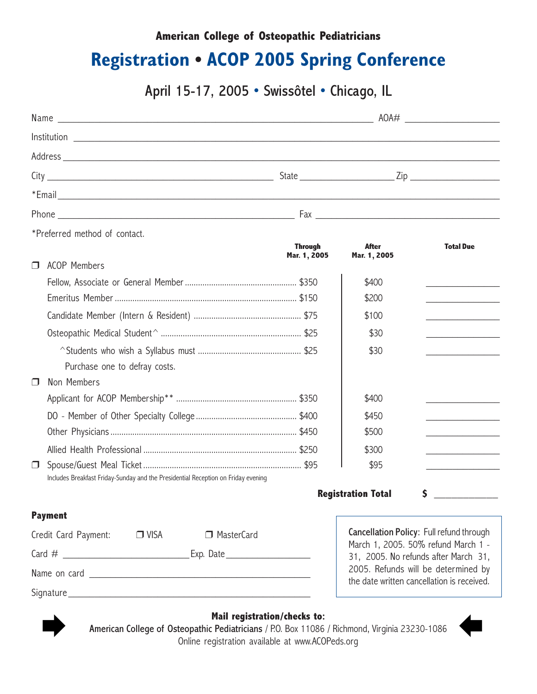#### American College of Osteopathic Pediatricians

### Registration • ACOP 2005 Spring Conference

April 15-17, 2005 • Swissôtel • Chicago, IL

|        | *Preferred method of contact.                                                     |                                |                              |                                                                                   |
|--------|-----------------------------------------------------------------------------------|--------------------------------|------------------------------|-----------------------------------------------------------------------------------|
|        |                                                                                   | <b>Through</b><br>Mar. 1, 2005 | <b>After</b><br>Mar. 1, 2005 | <b>Total Due</b>                                                                  |
| $\Box$ | <b>ACOP Members</b>                                                               |                                |                              |                                                                                   |
|        |                                                                                   |                                | \$400                        |                                                                                   |
|        |                                                                                   |                                | \$200                        | <u> 1990 - Johann Barbara, martin a</u>                                           |
|        |                                                                                   |                                | \$100                        | the control of the control of the control of                                      |
|        |                                                                                   |                                | \$30                         |                                                                                   |
|        |                                                                                   |                                | \$30                         |                                                                                   |
|        | Purchase one to defray costs.                                                     |                                |                              |                                                                                   |
| $\Box$ | Non Members                                                                       |                                |                              |                                                                                   |
|        |                                                                                   |                                | \$400                        |                                                                                   |
|        |                                                                                   |                                | \$450                        | the control of the control of the control of                                      |
|        |                                                                                   |                                | \$500                        |                                                                                   |
|        |                                                                                   |                                | \$300                        | the control of the control of the control of                                      |
| $\Box$ |                                                                                   |                                | \$95                         |                                                                                   |
|        | Includes Breakfast Friday-Sunday and the Presidential Reception on Friday evening |                                |                              |                                                                                   |
|        |                                                                                   |                                | <b>Registration Total</b>    | \$                                                                                |
|        | <b>Payment</b>                                                                    |                                |                              |                                                                                   |
|        | Credit Card Payment:<br>$\Box$ VISA<br>MasterCard                                 |                                |                              | Cancellation Policy: Full refund through                                          |
|        |                                                                                   |                                |                              | March 1, 2005. 50% refund March 1 -<br>31, 2005. No refunds after March 31,       |
|        |                                                                                   |                                |                              | 2005. Refunds will be determined by<br>the date written cancellation is received. |

Signature

Mail registration/checks to:

Mail registration/checks to:<br>American College of Osteopathic Pediatricians / P.O. Box 11086 / Richmond, Virginia 23230-1086 Online registration available at www.ACOPeds.org

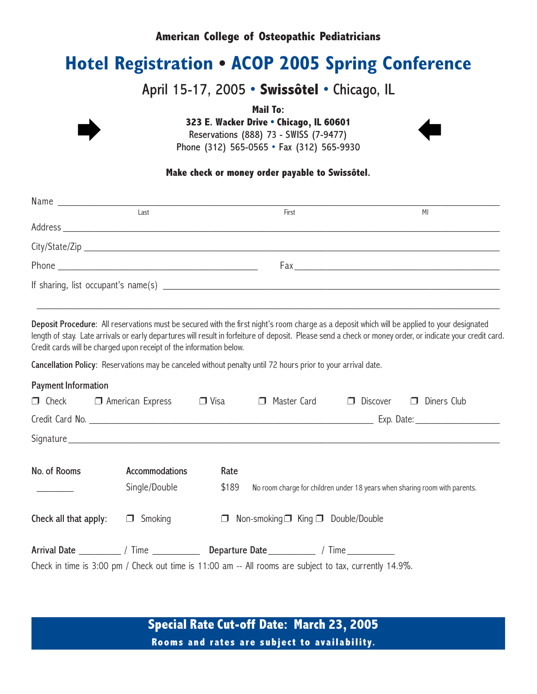#### American College of Osteopathic Pediatricians

### Hotel Registration • ACOP 2005 Spring Conference

#### April 15-17, 2005 • Swissôtel • Chicago, IL

Mail To:

323 E. Wacker Drive • Chicago, IL 60601 Reservations (888) 73 - SWISS (7-9477) 323 E. Wacker Drive • Chicago, IL 60601<br>Reservations (888) 73 - SWISS (7-9477)

Phone (312) 565-0565 • Fax (312) 565-9930

#### Make check or money order payable to Swissôtel.

| Last                                                                                                                                                                                                                           |  | First | M |  |
|--------------------------------------------------------------------------------------------------------------------------------------------------------------------------------------------------------------------------------|--|-------|---|--|
|                                                                                                                                                                                                                                |  |       |   |  |
|                                                                                                                                                                                                                                |  |       |   |  |
| Phone experience and the contract of the contract of the contract of the contract of the contract of the contract of the contract of the contract of the contract of the contract of the contract of the contract of the contr |  |       |   |  |
|                                                                                                                                                                                                                                |  |       |   |  |

Deposit Procedure: All reservations must be secured with the first night's room charge as a deposit which will be applied to your designated length of stay. Late arrivals or early departures will result in forfeiture of deposit. Please send a check or money order, or indicate your credit card. Credit cards will be charged upon receipt of the information below.

\_\_\_\_\_\_\_\_\_\_\_\_\_\_\_\_\_\_\_\_\_\_\_\_\_\_\_\_\_\_\_\_\_\_\_\_\_\_\_\_\_\_\_\_\_\_\_\_\_\_\_\_\_\_\_\_\_\_\_\_\_\_\_\_\_\_\_\_\_\_\_\_\_\_\_\_\_\_\_\_\_\_\_\_\_\_\_\_

Cancellation Policy: Reservations may be canceled without penalty until 72 hours prior to your arrival date.

| <b>Payment Information</b> |                                                                                                         |             |                                                                            |                 |                       |
|----------------------------|---------------------------------------------------------------------------------------------------------|-------------|----------------------------------------------------------------------------|-----------------|-----------------------|
|                            | $\Box$ Check $\Box$ American Express                                                                    | $\Box$ Visa | Master Card<br>$\Box$                                                      | $\Box$ Discover | Diners Club<br>$\Box$ |
|                            |                                                                                                         |             |                                                                            |                 |                       |
|                            |                                                                                                         |             |                                                                            |                 |                       |
| No. of Rooms               | Accommodations                                                                                          | Rate        |                                                                            |                 |                       |
|                            | Single/Double                                                                                           | \$189       | No room charge for children under 18 years when sharing room with parents. |                 |                       |
| Check all that apply:      | $\Box$ Smoking                                                                                          |             | $\Box$ Non-smoking $\Box$ King $\Box$ Double/Double                        |                 |                       |
|                            |                                                                                                         |             |                                                                            |                 |                       |
|                            | Check in time is 3:00 pm / Check out time is 11:00 am -- All rooms are subject to tax, currently 14.9%. |             |                                                                            |                 |                       |

Special Rate Cut-off Date: March 23, 2005 Rooms and rates are subject to availability.